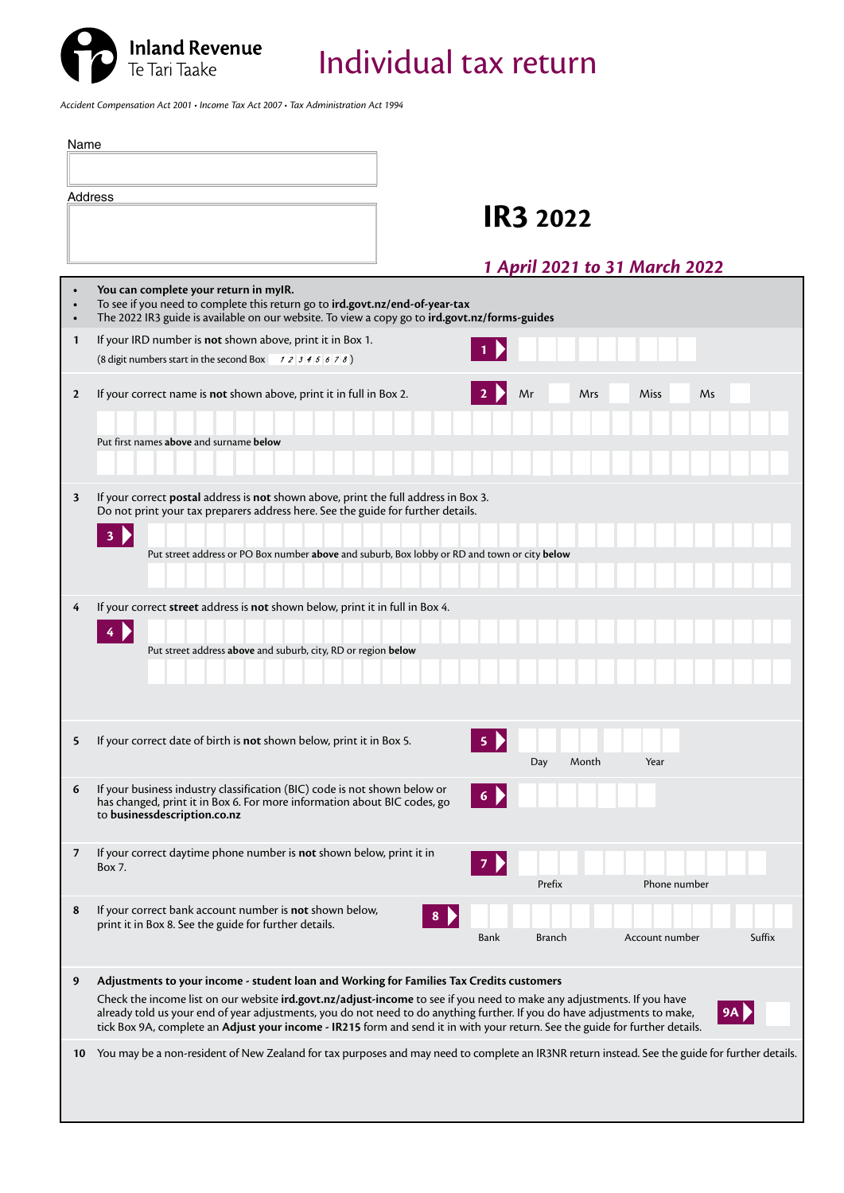

*Accident Compensation Act 2001 • Income Tax Act 2007 • Tax Administration Act 1994*

| Name         |                                                                                                                                                                                                                                                                                                                                                                                           |
|--------------|-------------------------------------------------------------------------------------------------------------------------------------------------------------------------------------------------------------------------------------------------------------------------------------------------------------------------------------------------------------------------------------------|
|              |                                                                                                                                                                                                                                                                                                                                                                                           |
|              | Address                                                                                                                                                                                                                                                                                                                                                                                   |
|              | <b>IR3 2022</b>                                                                                                                                                                                                                                                                                                                                                                           |
|              | 1 April 2021 to 31 March 2022                                                                                                                                                                                                                                                                                                                                                             |
|              | You can complete your return in myIR.<br>To see if you need to complete this return go to ird.govt.nz/end-of-year-tax<br>The 2022 IR3 guide is available on our website. To view a copy go to ird.govt.nz/forms-guides                                                                                                                                                                    |
| $\mathbf{1}$ | If your IRD number is not shown above, print it in Box 1.                                                                                                                                                                                                                                                                                                                                 |
|              | (8 digit numbers start in the second Box $\begin{array}{cc} 1 & 2 & 3 & 4 & 5 & 6 & 7 & 8 \end{array}$ )                                                                                                                                                                                                                                                                                  |
| $\mathbf{2}$ | If your correct name is not shown above, print it in full in Box 2.<br>Mr<br>Miss<br>Ms<br>Mrs<br>Put first names above and surname below                                                                                                                                                                                                                                                 |
| 3            | If your correct postal address is not shown above, print the full address in Box 3.<br>Do not print your tax preparers address here. See the guide for further details.<br>3                                                                                                                                                                                                              |
|              | Put street address or PO Box number above and suburb, Box lobby or RD and town or city below                                                                                                                                                                                                                                                                                              |
| 4            | If your correct street address is not shown below, print it in full in Box 4.                                                                                                                                                                                                                                                                                                             |
|              | 4                                                                                                                                                                                                                                                                                                                                                                                         |
|              | Put street address above and suburb, city, RD or region below                                                                                                                                                                                                                                                                                                                             |
|              |                                                                                                                                                                                                                                                                                                                                                                                           |
|              |                                                                                                                                                                                                                                                                                                                                                                                           |
| 5            | If your correct date of birth is not shown below, print it in Box 5.<br>Day<br>Month<br>Year                                                                                                                                                                                                                                                                                              |
|              |                                                                                                                                                                                                                                                                                                                                                                                           |
| 6            | If your business industry classification (BIC) code is not shown below or<br>has changed, print it in Box 6. For more information about BIC codes, go<br>to businessdescription.co.nz                                                                                                                                                                                                     |
| 7            | If your correct daytime phone number is not shown below, print it in<br>Box 7.                                                                                                                                                                                                                                                                                                            |
|              | Prefix<br>Phone number                                                                                                                                                                                                                                                                                                                                                                    |
| 8            | If your correct bank account number is not shown below,                                                                                                                                                                                                                                                                                                                                   |
|              | print it in Box 8. See the guide for further details.<br>Suffix<br>Bank<br><b>Branch</b><br>Account number                                                                                                                                                                                                                                                                                |
|              |                                                                                                                                                                                                                                                                                                                                                                                           |
| 9            | Adjustments to your income - student loan and Working for Families Tax Credits customers                                                                                                                                                                                                                                                                                                  |
|              | Check the income list on our website ird.govt.nz/adjust-income to see if you need to make any adjustments. If you have<br>already told us your end of year adjustments, you do not need to do anything further. If you do have adjustments to make,<br>9A<br>tick Box 9A, complete an Adjust your income - IR215 form and send it in with your return. See the guide for further details. |
| 10           | You may be a non-resident of New Zealand for tax purposes and may need to complete an IR3NR return instead. See the guide for further details.                                                                                                                                                                                                                                            |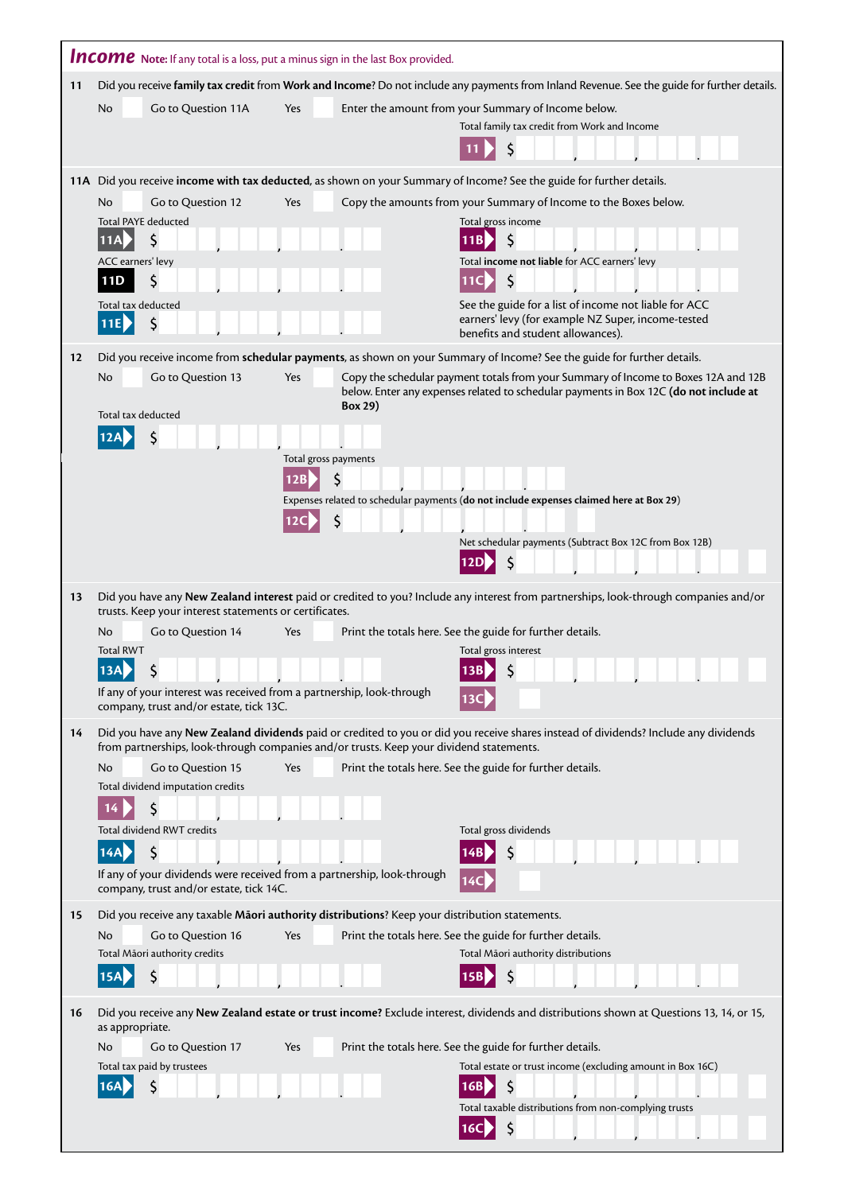|    | <b>Income</b> Note: If any total is a loss, put a minus sign in the last Box provided.                                                                     |                      |                                                                                                                                                                             |  |  |  |
|----|------------------------------------------------------------------------------------------------------------------------------------------------------------|----------------------|-----------------------------------------------------------------------------------------------------------------------------------------------------------------------------|--|--|--|
| 11 | Did you receive family tax credit from Work and Income? Do not include any payments from Inland Revenue. See the guide for further details.                |                      |                                                                                                                                                                             |  |  |  |
|    | Go to Question 11A<br>No                                                                                                                                   | Yes                  | Enter the amount from your Summary of Income below.                                                                                                                         |  |  |  |
|    |                                                                                                                                                            |                      | Total family tax credit from Work and Income                                                                                                                                |  |  |  |
|    |                                                                                                                                                            |                      |                                                                                                                                                                             |  |  |  |
|    |                                                                                                                                                            |                      | 11A Did you receive income with tax deducted, as shown on your Summary of Income? See the guide for further details.                                                        |  |  |  |
|    | Go to Question 12<br>No<br><b>Total PAYE deducted</b>                                                                                                      | Yes                  | Copy the amounts from your Summary of Income to the Boxes below.<br>Total gross income                                                                                      |  |  |  |
|    | Ś<br><b>11A</b>                                                                                                                                            |                      | 11B                                                                                                                                                                         |  |  |  |
|    | ACC earners' levy                                                                                                                                          |                      | Total income not liable for ACC earners' levy                                                                                                                               |  |  |  |
|    | S<br>11D                                                                                                                                                   |                      | \$<br>11C                                                                                                                                                                   |  |  |  |
|    | Total tax deducted<br>11E                                                                                                                                  |                      | See the guide for a list of income not liable for ACC<br>earners' levy (for example NZ Super, income-tested                                                                 |  |  |  |
|    |                                                                                                                                                            |                      | benefits and student allowances).                                                                                                                                           |  |  |  |
| 12 |                                                                                                                                                            |                      | Did you receive income from schedular payments, as shown on your Summary of Income? See the guide for further details.                                                      |  |  |  |
|    | Go to Question 13<br>No<br>Total tax deducted                                                                                                              | Yes<br>Box 29)       | Copy the schedular payment totals from your Summary of Income to Boxes 12A and 12B<br>below. Enter any expenses related to schedular payments in Box 12C (do not include at |  |  |  |
|    |                                                                                                                                                            |                      |                                                                                                                                                                             |  |  |  |
|    |                                                                                                                                                            | Total gross payments |                                                                                                                                                                             |  |  |  |
|    |                                                                                                                                                            | 12B                  |                                                                                                                                                                             |  |  |  |
|    |                                                                                                                                                            | 12C                  | Expenses related to schedular payments (do not include expenses claimed here at Box 29)                                                                                     |  |  |  |
|    |                                                                                                                                                            |                      | Net schedular payments (Subtract Box 12C from Box 12B)                                                                                                                      |  |  |  |
|    |                                                                                                                                                            |                      |                                                                                                                                                                             |  |  |  |
| 13 |                                                                                                                                                            |                      | Did you have any New Zealand interest paid or credited to you? Include any interest from partnerships, look-through companies and/or                                        |  |  |  |
|    | trusts. Keep your interest statements or certificates.<br>Go to Question 14<br><b>No</b>                                                                   | Yes                  | Print the totals here. See the guide for further details.                                                                                                                   |  |  |  |
|    | <b>Total RWT</b>                                                                                                                                           |                      | Total gross interest                                                                                                                                                        |  |  |  |
|    | \$<br><b>13A</b>                                                                                                                                           |                      | \$<br>13BI                                                                                                                                                                  |  |  |  |
|    | If any of your interest was received from a partnership, look-through<br>company, trust and/or estate, tick 13C.                                           |                      |                                                                                                                                                                             |  |  |  |
| 14 | from partnerships, look-through companies and/or trusts. Keep your dividend statements.                                                                    |                      | Did you have any New Zealand dividends paid or credited to you or did you receive shares instead of dividends? Include any dividends                                        |  |  |  |
|    | <b>No</b><br>Go to Question 15                                                                                                                             | Yes                  | Print the totals here. See the guide for further details.                                                                                                                   |  |  |  |
|    | Total dividend imputation credits<br>Ś<br>14                                                                                                               |                      |                                                                                                                                                                             |  |  |  |
|    | <b>Total dividend RWT credits</b>                                                                                                                          |                      | Total gross dividends                                                                                                                                                       |  |  |  |
|    | \$<br>14A                                                                                                                                                  |                      |                                                                                                                                                                             |  |  |  |
|    | If any of your dividends were received from a partnership, look-through<br>company, trust and/or estate, tick 14C.                                         |                      |                                                                                                                                                                             |  |  |  |
| 15 | Did you receive any taxable Maori authority distributions? Keep your distribution statements.                                                              |                      |                                                                                                                                                                             |  |  |  |
|    | Go to Question 16<br>N <sub>o</sub><br>Total Māori authority credits                                                                                       | Yes                  | Print the totals here. See the guide for further details.<br>Total Māori authority distributions                                                                            |  |  |  |
|    | \$                                                                                                                                                         |                      | S                                                                                                                                                                           |  |  |  |
|    |                                                                                                                                                            |                      |                                                                                                                                                                             |  |  |  |
| 16 | Did you receive any New Zealand estate or trust income? Exclude interest, dividends and distributions shown at Questions 13, 14, or 15,<br>as appropriate. |                      |                                                                                                                                                                             |  |  |  |
|    | Go to Question 17<br>No                                                                                                                                    | Yes                  | Print the totals here. See the guide for further details.                                                                                                                   |  |  |  |
|    | Total tax paid by trustees<br>\$                                                                                                                           |                      | Total estate or trust income (excluding amount in Box 16C)<br>S                                                                                                             |  |  |  |
|    |                                                                                                                                                            |                      | Total taxable distributions from non-complying trusts                                                                                                                       |  |  |  |
|    |                                                                                                                                                            |                      | $\zeta$<br>16C                                                                                                                                                              |  |  |  |

ı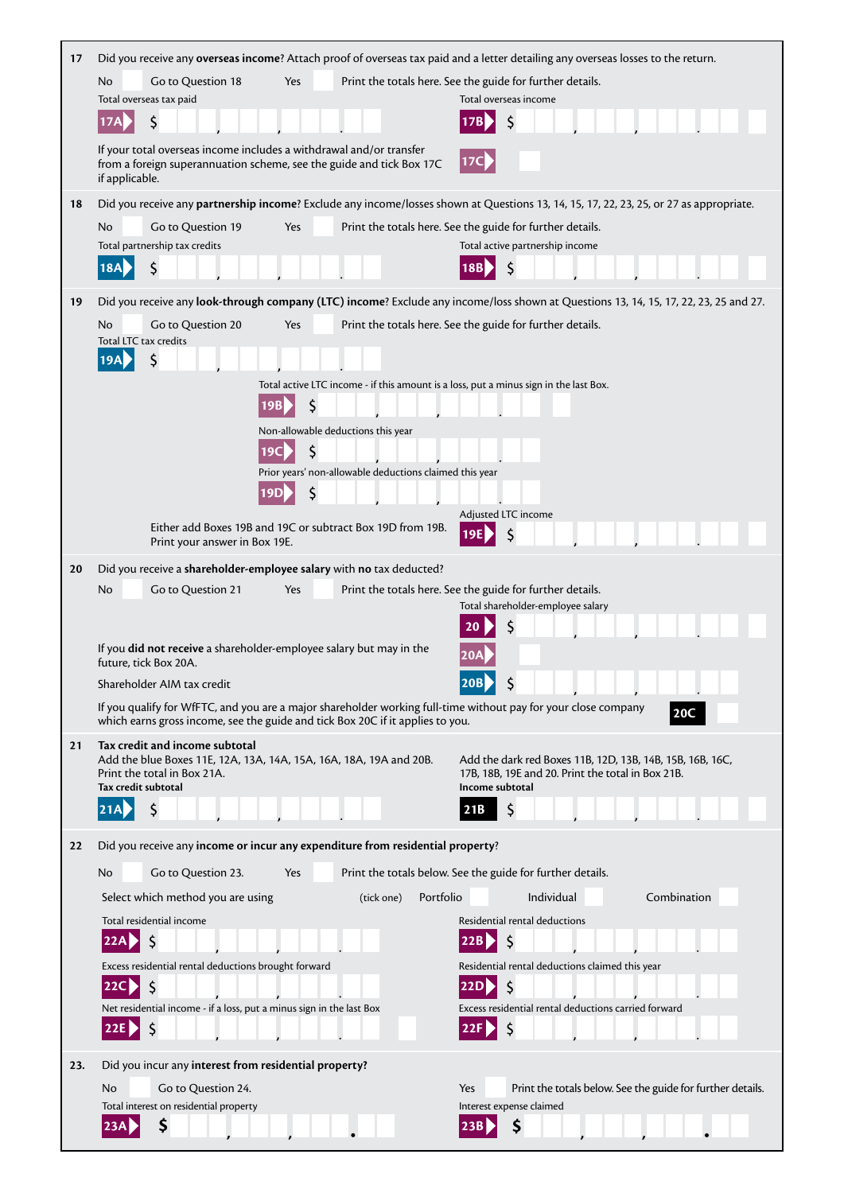| 17  | Did you receive any overseas income? Attach proof of overseas tax paid and a letter detailing any overseas losses to the return.                                                                               |  |  |  |  |  |
|-----|----------------------------------------------------------------------------------------------------------------------------------------------------------------------------------------------------------------|--|--|--|--|--|
|     | Go to Question 18<br>Yes<br>Print the totals here. See the guide for further details.<br>No                                                                                                                    |  |  |  |  |  |
|     | Total overseas tax paid<br>Total overseas income                                                                                                                                                               |  |  |  |  |  |
|     | \$<br>\$<br><b>17A</b>                                                                                                                                                                                         |  |  |  |  |  |
|     | If your total overseas income includes a withdrawal and/or transfer<br>17C<br>from a foreign superannuation scheme, see the guide and tick Box 17C<br>if applicable.                                           |  |  |  |  |  |
| 18  | Did you receive any partnership income? Exclude any income/losses shown at Questions 13, 14, 15, 17, 22, 23, 25, or 27 as appropriate.                                                                         |  |  |  |  |  |
|     | No<br>Print the totals here. See the guide for further details.<br>Go to Question 19<br>Yes                                                                                                                    |  |  |  |  |  |
|     | Total partnership tax credits<br>Total active partnership income                                                                                                                                               |  |  |  |  |  |
|     | \$<br><b>18A</b><br>18B                                                                                                                                                                                        |  |  |  |  |  |
| 19  | Did you receive any look-through company (LTC) income? Exclude any income/loss shown at Questions 13, 14, 15, 17, 22, 23, 25 and 27.                                                                           |  |  |  |  |  |
|     | Go to Question 20<br>Print the totals here. See the guide for further details.<br>No<br>Yes<br>Total LTC tax credits                                                                                           |  |  |  |  |  |
|     | \$<br>19A                                                                                                                                                                                                      |  |  |  |  |  |
|     | Total active LTC income - if this amount is a loss, put a minus sign in the last Box.                                                                                                                          |  |  |  |  |  |
|     | \$<br>19B                                                                                                                                                                                                      |  |  |  |  |  |
|     | Non-allowable deductions this year                                                                                                                                                                             |  |  |  |  |  |
|     | S<br>Prior years' non-allowable deductions claimed this year                                                                                                                                                   |  |  |  |  |  |
|     | \$<br>19D                                                                                                                                                                                                      |  |  |  |  |  |
|     | Adjusted LTC income                                                                                                                                                                                            |  |  |  |  |  |
|     | Either add Boxes 19B and 19C or subtract Box 19D from 19B.<br>Print your answer in Box 19E.                                                                                                                    |  |  |  |  |  |
| 20  | Did you receive a shareholder-employee salary with no tax deducted?                                                                                                                                            |  |  |  |  |  |
|     | Go to Question 21<br>Print the totals here. See the guide for further details.<br>No<br>Yes                                                                                                                    |  |  |  |  |  |
|     | Total shareholder-employee salary                                                                                                                                                                              |  |  |  |  |  |
|     | If you did not receive a shareholder-employee salary but may in the                                                                                                                                            |  |  |  |  |  |
|     | future, tick Box 20A.                                                                                                                                                                                          |  |  |  |  |  |
|     | <b>20B</b><br>Shareholder AIM tax credit<br>Ş                                                                                                                                                                  |  |  |  |  |  |
|     | If you qualify for WfFTC, and you are a major shareholder working full-time without pay for your close company<br><b>20C</b><br>which earns gross income, see the guide and tick Box 20C if it applies to you. |  |  |  |  |  |
| 21  | Tax credit and income subtotal<br>Add the blue Boxes 11E, 12A, 13A, 14A, 15A, 16A, 18A, 19A and 20B.<br>Add the dark red Boxes 11B, 12D, 13B, 14B, 15B, 16B, 16C,                                              |  |  |  |  |  |
|     | Print the total in Box 21A.<br>17B, 18B, 19E and 20. Print the total in Box 21B.<br>Tax credit subtotal<br>Income subtotal                                                                                     |  |  |  |  |  |
|     | \$<br>21B                                                                                                                                                                                                      |  |  |  |  |  |
| 22  | Did you receive any income or incur any expenditure from residential property?                                                                                                                                 |  |  |  |  |  |
|     | Go to Question 23.<br>Print the totals below. See the guide for further details.<br>No<br>Yes                                                                                                                  |  |  |  |  |  |
|     | Individual<br>Combination<br>Select which method you are using<br>(tick one)<br>Portfolio                                                                                                                      |  |  |  |  |  |
|     | Total residential income<br>Residential rental deductions                                                                                                                                                      |  |  |  |  |  |
|     | 22A<br>22B                                                                                                                                                                                                     |  |  |  |  |  |
|     | Excess residential rental deductions brought forward<br>Residential rental deductions claimed this year                                                                                                        |  |  |  |  |  |
|     | $\zeta$<br>\$.<br>22C<br><b>22D</b><br>Excess residential rental deductions carried forward<br>Net residential income - if a loss, put a minus sign in the last Box                                            |  |  |  |  |  |
|     | S<br>22E<br>22F                                                                                                                                                                                                |  |  |  |  |  |
|     |                                                                                                                                                                                                                |  |  |  |  |  |
| 23. | Did you incur any interest from residential property?                                                                                                                                                          |  |  |  |  |  |
|     | Go to Question 24.<br>Yes<br>Print the totals below. See the guide for further details.<br>No<br>Total interest on residential property<br>Interest expense claimed                                            |  |  |  |  |  |
|     | \$<br>\$<br>23A<br>23B                                                                                                                                                                                         |  |  |  |  |  |
|     |                                                                                                                                                                                                                |  |  |  |  |  |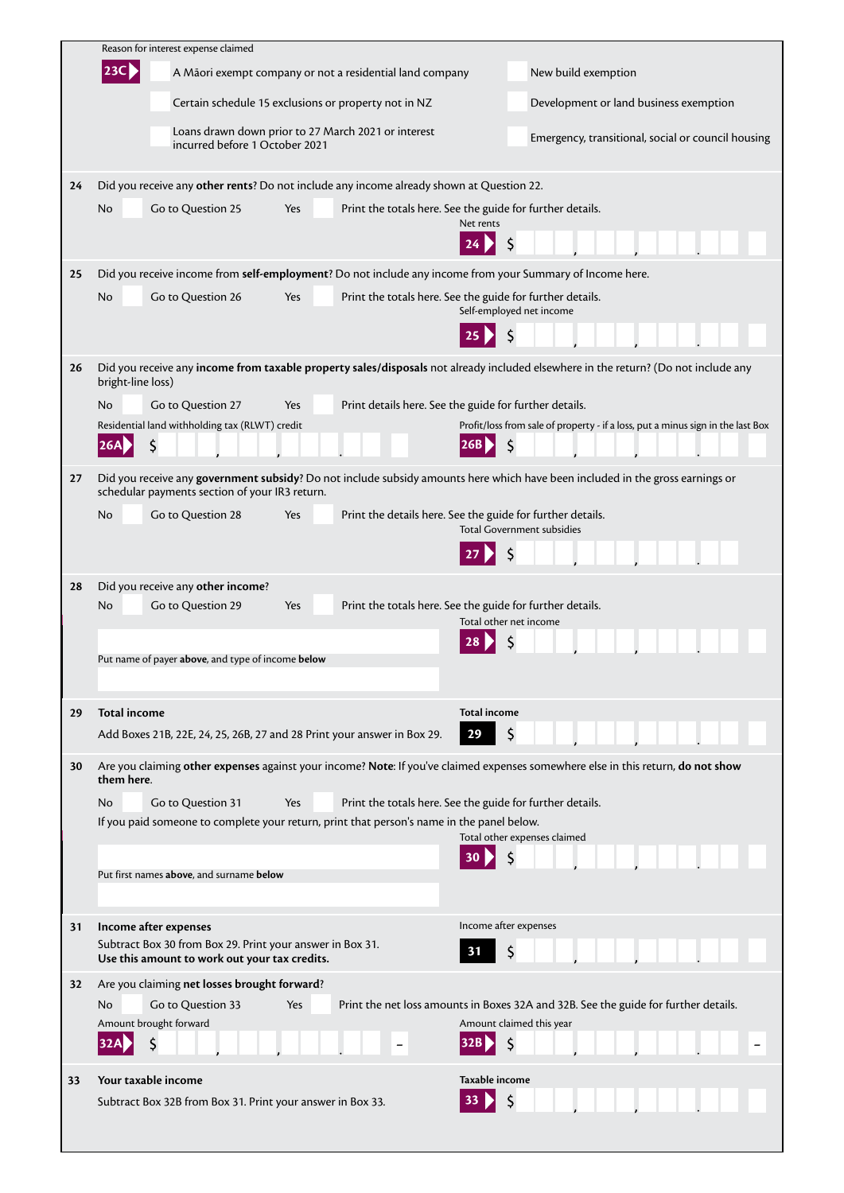|    | Reason for interest expense claimed                                                                                                                                             |                                                                                                                 |
|----|---------------------------------------------------------------------------------------------------------------------------------------------------------------------------------|-----------------------------------------------------------------------------------------------------------------|
|    | 23C <br>A Māori exempt company or not a residential land company                                                                                                                | New build exemption                                                                                             |
|    | Certain schedule 15 exclusions or property not in NZ                                                                                                                            | Development or land business exemption                                                                          |
|    | Loans drawn down prior to 27 March 2021 or interest<br>incurred before 1 October 2021                                                                                           | Emergency, transitional, social or council housing                                                              |
| 24 | Did you receive any other rents? Do not include any income already shown at Question 22.                                                                                        |                                                                                                                 |
|    | Go to Question 25<br>No<br>Yes                                                                                                                                                  | Print the totals here. See the guide for further details.<br>Net rents                                          |
|    |                                                                                                                                                                                 |                                                                                                                 |
| 25 | Did you receive income from self-employment? Do not include any income from your Summary of Income here.                                                                        |                                                                                                                 |
|    | Go to Question 26<br>No<br>Yes                                                                                                                                                  | Print the totals here. See the guide for further details.<br>Self-employed net income                           |
|    |                                                                                                                                                                                 |                                                                                                                 |
| 26 | Did you receive any income from taxable property sales/disposals not already included elsewhere in the return? (Do not include any<br>bright-line loss)                         |                                                                                                                 |
|    | Go to Question 27<br>No<br>Yes                                                                                                                                                  | Print details here. See the guide for further details.                                                          |
|    | Residential land withholding tax (RLWT) credit<br>26A                                                                                                                           | Profit/loss from sale of property - if a loss, put a minus sign in the last Box                                 |
| 27 | Did you receive any government subsidy? Do not include subsidy amounts here which have been included in the gross earnings or<br>schedular payments section of your IR3 return. |                                                                                                                 |
|    | Go to Question 28<br>No<br>Yes                                                                                                                                                  | Print the details here. See the guide for further details.<br><b>Total Government subsidies</b>                 |
|    |                                                                                                                                                                                 |                                                                                                                 |
| 28 | Did you receive any other income?                                                                                                                                               |                                                                                                                 |
|    | Go to Question 29<br>No<br>Yes                                                                                                                                                  | Print the totals here. See the guide for further details.<br>Total other net income                             |
|    |                                                                                                                                                                                 |                                                                                                                 |
|    | Put name of payer above, and type of income below                                                                                                                               |                                                                                                                 |
| 29 | <b>Total income</b>                                                                                                                                                             | <b>Total income</b>                                                                                             |
|    | Add Boxes 21B, 22E, 24, 25, 26B, 27 and 28 Print your answer in Box 29.                                                                                                         | 29                                                                                                              |
| 30 | Are you claiming other expenses against your income? Note: If you've claimed expenses somewhere else in this return, do not show<br>them here.                                  |                                                                                                                 |
|    | No.<br>Go to Question 31<br>Yes                                                                                                                                                 | Print the totals here. See the guide for further details.                                                       |
|    | If you paid someone to complete your return, print that person's name in the panel below.                                                                                       | Total other expenses claimed                                                                                    |
|    | Put first names above, and surname below                                                                                                                                        |                                                                                                                 |
|    |                                                                                                                                                                                 |                                                                                                                 |
| 31 | Income after expenses                                                                                                                                                           | Income after expenses                                                                                           |
|    | Subtract Box 30 from Box 29. Print your answer in Box 31.<br>Use this amount to work out your tax credits.                                                                      |                                                                                                                 |
| 32 | Are you claiming net losses brought forward?                                                                                                                                    |                                                                                                                 |
|    | Go to Question 33<br>No<br>Yes<br>Amount brought forward                                                                                                                        | Print the net loss amounts in Boxes 32A and 32B. See the guide for further details.<br>Amount claimed this year |
|    |                                                                                                                                                                                 | Ś                                                                                                               |
| 33 | Your taxable income                                                                                                                                                             | Taxable income                                                                                                  |
|    | Subtract Box 32B from Box 31. Print your answer in Box 33.                                                                                                                      |                                                                                                                 |
|    |                                                                                                                                                                                 |                                                                                                                 |

L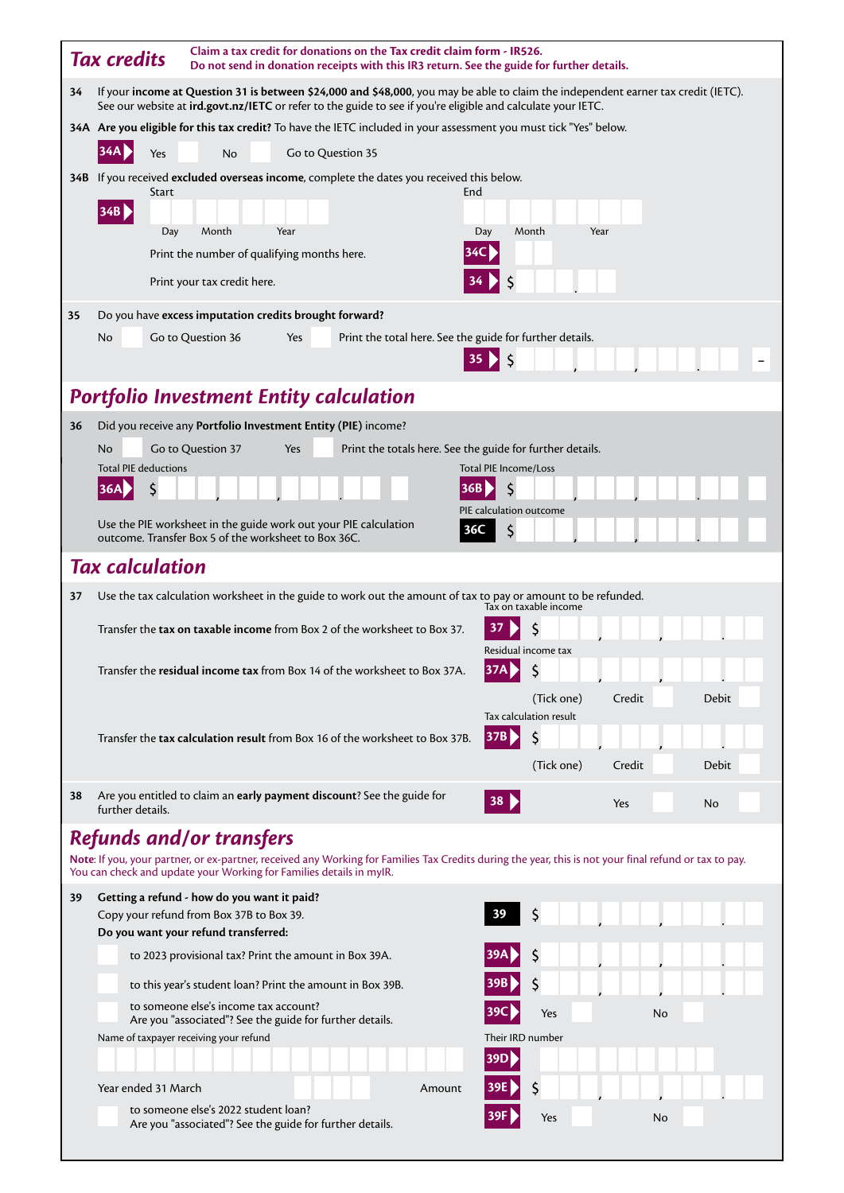|    | <b>Tax credits</b>          | Claim a tax credit for donations on the Tax credit claim form - IR526.<br>Do not send in donation receipts with this IR3 return. See the guide for further details.                                                                                |                   |                                                           |        |                              |                              |        |    |       |  |
|----|-----------------------------|----------------------------------------------------------------------------------------------------------------------------------------------------------------------------------------------------------------------------------------------------|-------------------|-----------------------------------------------------------|--------|------------------------------|------------------------------|--------|----|-------|--|
| 34 |                             | If your income at Question 31 is between \$24,000 and \$48,000, you may be able to claim the independent earner tax credit (IETC).<br>See our website at ird.govt.nz/IETC or refer to the guide to see if you're eligible and calculate your IETC. |                   |                                                           |        |                              |                              |        |    |       |  |
|    |                             | 34A Are you eligible for this tax credit? To have the IETC included in your assessment you must tick "Yes" below.                                                                                                                                  |                   |                                                           |        |                              |                              |        |    |       |  |
|    | 34A<br>Yes                  | <b>No</b>                                                                                                                                                                                                                                          | Go to Question 35 |                                                           |        |                              |                              |        |    |       |  |
|    | Start                       | 34B If you received excluded overseas income, complete the dates you received this below.                                                                                                                                                          |                   |                                                           | End    |                              |                              |        |    |       |  |
|    | 34B                         |                                                                                                                                                                                                                                                    |                   |                                                           |        |                              |                              |        |    |       |  |
|    | Day                         | Month                                                                                                                                                                                                                                              | Year              |                                                           |        | Day                          | Month                        | Year   |    |       |  |
|    |                             | Print the number of qualifying months here.                                                                                                                                                                                                        |                   |                                                           |        | 34C                          |                              |        |    |       |  |
|    |                             | Print your tax credit here.                                                                                                                                                                                                                        |                   |                                                           |        |                              |                              |        |    |       |  |
| 35 | No                          | Do you have excess imputation credits brought forward?                                                                                                                                                                                             |                   |                                                           |        |                              |                              |        |    |       |  |
|    |                             | Go to Question 36                                                                                                                                                                                                                                  | Yes               | Print the total here. See the guide for further details.  |        |                              |                              |        |    |       |  |
|    |                             |                                                                                                                                                                                                                                                    |                   |                                                           |        |                              |                              |        |    |       |  |
|    |                             | <b>Portfolio Investment Entity calculation</b>                                                                                                                                                                                                     |                   |                                                           |        |                              |                              |        |    |       |  |
| 36 | No                          | Did you receive any Portfolio Investment Entity (PIE) income?<br>Go to Question 37                                                                                                                                                                 | Yes               | Print the totals here. See the guide for further details. |        |                              |                              |        |    |       |  |
|    | <b>Total PIE deductions</b> |                                                                                                                                                                                                                                                    |                   |                                                           |        | <b>Total PIE Income/Loss</b> |                              |        |    |       |  |
|    | S<br>36A                    |                                                                                                                                                                                                                                                    |                   |                                                           | 36B    | S                            |                              |        |    |       |  |
|    |                             | Use the PIE worksheet in the guide work out your PIE calculation<br>outcome. Transfer Box 5 of the worksheet to Box 36C.                                                                                                                           |                   |                                                           | 36C    | PIE calculation outcome      |                              |        |    |       |  |
|    | <b>Tax calculation</b>      |                                                                                                                                                                                                                                                    |                   |                                                           |        |                              |                              |        |    |       |  |
| 37 |                             | Use the tax calculation worksheet in the guide to work out the amount of tax to pay or amount to be refunded.                                                                                                                                      |                   |                                                           |        |                              |                              |        |    |       |  |
|    |                             |                                                                                                                                                                                                                                                    |                   |                                                           |        | 37                           | Tax on taxable income        |        |    |       |  |
|    |                             | Transfer the tax on taxable income from Box 2 of the worksheet to Box 37.                                                                                                                                                                          |                   |                                                           |        |                              | Residual income tax          |        |    |       |  |
|    |                             | Transfer the residual income tax from Box 14 of the worksheet to Box 37A.                                                                                                                                                                          |                   |                                                           |        | 37A                          | \$                           |        |    |       |  |
|    |                             |                                                                                                                                                                                                                                                    |                   |                                                           |        |                              | (Tick one)                   | Credit |    | Debit |  |
|    |                             | Transfer the <b>tax calculation result</b> from Box 16 of the worksheet to Box 37B.                                                                                                                                                                |                   |                                                           |        | 37B)                         | Tax calculation result<br>\$ |        |    |       |  |
|    |                             |                                                                                                                                                                                                                                                    |                   |                                                           |        |                              | (Tick one)                   | Credit |    | Debit |  |
| 38 |                             | Are you entitled to claim an early payment discount? See the guide for                                                                                                                                                                             |                   |                                                           |        |                              |                              |        |    |       |  |
|    | further details.            |                                                                                                                                                                                                                                                    |                   |                                                           |        | 38 <sup>1</sup>              |                              | Yes    |    | No    |  |
|    |                             | <b>Refunds and/or transfers</b>                                                                                                                                                                                                                    |                   |                                                           |        |                              |                              |        |    |       |  |
|    |                             | Note: If you, your partner, or ex-partner, received any Working for Families Tax Credits during the year, this is not your final refund or tax to pay.<br>You can check and update your Working for Families details in myIR.                      |                   |                                                           |        |                              |                              |        |    |       |  |
| 39 |                             | Getting a refund - how do you want it paid?<br>Copy your refund from Box 37B to Box 39.                                                                                                                                                            |                   |                                                           |        | 39                           | \$                           |        |    |       |  |
|    |                             | Do you want your refund transferred:                                                                                                                                                                                                               |                   |                                                           |        |                              |                              |        |    |       |  |
|    |                             | to 2023 provisional tax? Print the amount in Box 39A.                                                                                                                                                                                              |                   |                                                           |        | 39A                          | \$                           |        |    |       |  |
|    |                             | to this year's student loan? Print the amount in Box 39B.                                                                                                                                                                                          |                   |                                                           |        | 39B                          | \$                           |        |    |       |  |
|    |                             | to someone else's income tax account?<br>Are you "associated"? See the guide for further details.                                                                                                                                                  |                   |                                                           |        |                              | Yes                          |        | No |       |  |
|    |                             | Name of taxpayer receiving your refund                                                                                                                                                                                                             |                   |                                                           |        | Their IRD number             |                              |        |    |       |  |
|    |                             |                                                                                                                                                                                                                                                    |                   |                                                           |        | 39D)                         |                              |        |    |       |  |
|    | Year ended 31 March         |                                                                                                                                                                                                                                                    |                   |                                                           | Amount |                              | \$                           |        |    |       |  |
|    |                             | to someone else's 2022 student loan?<br>Are you "associated"? See the guide for further details.                                                                                                                                                   |                   |                                                           |        |                              | Yes                          |        | No |       |  |
|    |                             |                                                                                                                                                                                                                                                    |                   |                                                           |        |                              |                              |        |    |       |  |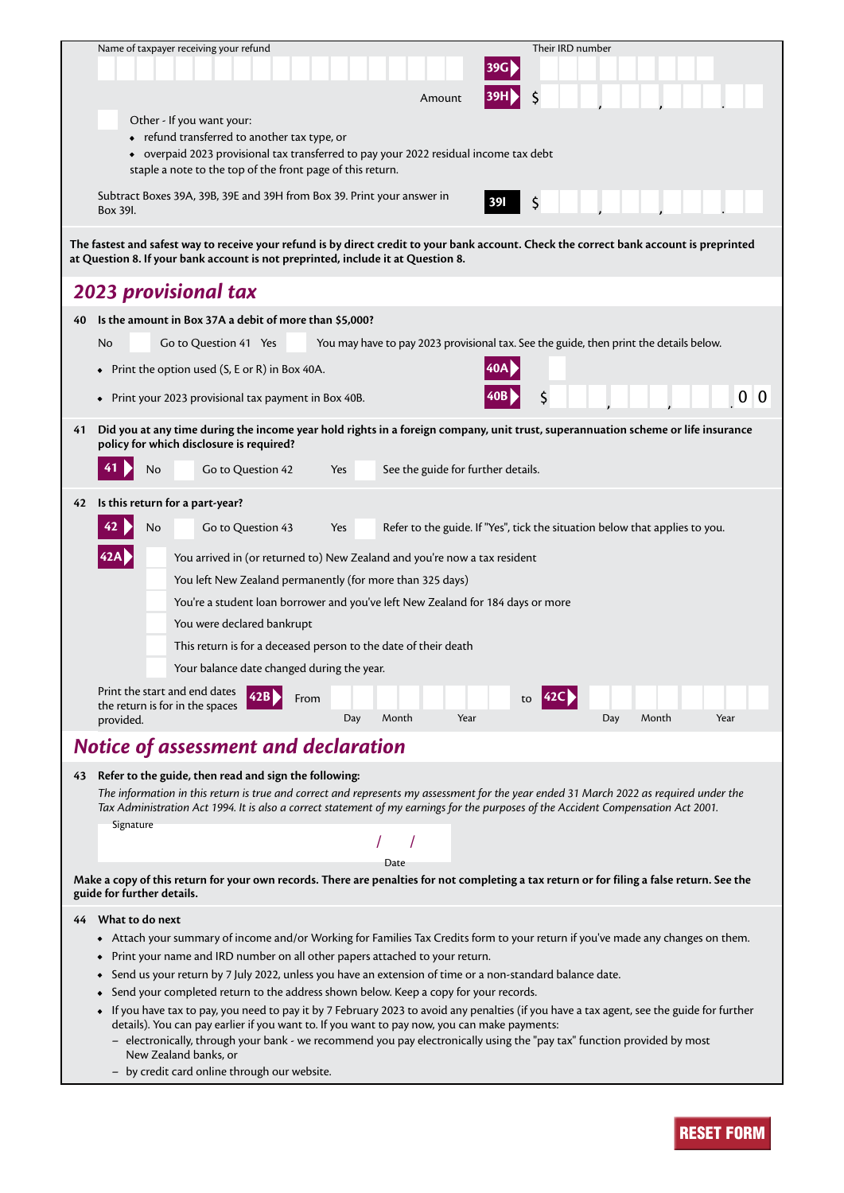|    | Name of taxpayer receiving your refund                                                                                                                                                                                                                                       | Their IRD number                                                                       |  |  |  |  |  |
|----|------------------------------------------------------------------------------------------------------------------------------------------------------------------------------------------------------------------------------------------------------------------------------|----------------------------------------------------------------------------------------|--|--|--|--|--|
|    |                                                                                                                                                                                                                                                                              |                                                                                        |  |  |  |  |  |
|    | Amount                                                                                                                                                                                                                                                                       | \$                                                                                     |  |  |  |  |  |
|    | Other - If you want your:                                                                                                                                                                                                                                                    |                                                                                        |  |  |  |  |  |
|    | • refund transferred to another tax type, or                                                                                                                                                                                                                                 |                                                                                        |  |  |  |  |  |
|    | • overpaid 2023 provisional tax transferred to pay your 2022 residual income tax debt<br>staple a note to the top of the front page of this return.                                                                                                                          |                                                                                        |  |  |  |  |  |
|    | Subtract Boxes 39A, 39B, 39E and 39H from Box 39. Print your answer in                                                                                                                                                                                                       | \$<br><b>391</b>                                                                       |  |  |  |  |  |
|    | Box 39I.                                                                                                                                                                                                                                                                     |                                                                                        |  |  |  |  |  |
|    | The fastest and safest way to receive your refund is by direct credit to your bank account. Check the correct bank account is preprinted<br>at Question 8. If your bank account is not preprinted, include it at Question 8.                                                 |                                                                                        |  |  |  |  |  |
|    | <b>2023 provisional tax</b>                                                                                                                                                                                                                                                  |                                                                                        |  |  |  |  |  |
| 40 | Is the amount in Box 37A a debit of more than \$5,000?                                                                                                                                                                                                                       |                                                                                        |  |  |  |  |  |
|    | Go to Question 41 Yes<br>No                                                                                                                                                                                                                                                  | You may have to pay 2023 provisional tax. See the guide, then print the details below. |  |  |  |  |  |
|    | Print the option used (S, E or R) in Box 40A.                                                                                                                                                                                                                                |                                                                                        |  |  |  |  |  |
|    |                                                                                                                                                                                                                                                                              |                                                                                        |  |  |  |  |  |
|    | • Print your 2023 provisional tax payment in Box 40B.                                                                                                                                                                                                                        | 0 0<br>\$                                                                              |  |  |  |  |  |
| 41 | Did you at any time during the income year hold rights in a foreign company, unit trust, superannuation scheme or life insurance                                                                                                                                             |                                                                                        |  |  |  |  |  |
|    | policy for which disclosure is required?                                                                                                                                                                                                                                     |                                                                                        |  |  |  |  |  |
|    | 41<br>Go to Question 42<br>See the guide for further details.<br>No<br>Yes                                                                                                                                                                                                   |                                                                                        |  |  |  |  |  |
| 42 | Is this return for a part-year?                                                                                                                                                                                                                                              |                                                                                        |  |  |  |  |  |
|    | Go to Question 43<br>No<br>Yes                                                                                                                                                                                                                                               | Refer to the guide. If "Yes", tick the situation below that applies to you.            |  |  |  |  |  |
|    | You arrived in (or returned to) New Zealand and you're now a tax resident                                                                                                                                                                                                    |                                                                                        |  |  |  |  |  |
|    | You left New Zealand permanently (for more than 325 days)                                                                                                                                                                                                                    |                                                                                        |  |  |  |  |  |
|    | You're a student loan borrower and you've left New Zealand for 184 days or more                                                                                                                                                                                              |                                                                                        |  |  |  |  |  |
|    | You were declared bankrupt                                                                                                                                                                                                                                                   |                                                                                        |  |  |  |  |  |
|    | This return is for a deceased person to the date of their death                                                                                                                                                                                                              |                                                                                        |  |  |  |  |  |
|    | Your balance date changed during the year.                                                                                                                                                                                                                                   |                                                                                        |  |  |  |  |  |
|    | Print the start and end dates                                                                                                                                                                                                                                                |                                                                                        |  |  |  |  |  |
|    | From<br>the return is for in the spaces                                                                                                                                                                                                                                      | to                                                                                     |  |  |  |  |  |
|    | Month<br>Year<br>Day<br>provided.                                                                                                                                                                                                                                            | Month<br>Year<br>Day                                                                   |  |  |  |  |  |
|    | Notice of assessment and declaration                                                                                                                                                                                                                                         |                                                                                        |  |  |  |  |  |
|    | 43 Refer to the guide, then read and sign the following:                                                                                                                                                                                                                     |                                                                                        |  |  |  |  |  |
|    | The information in this return is true and correct and represents my assessment for the year ended 31 March 2022 as required under the<br>Tax Administration Act 1994. It is also a correct statement of my earnings for the purposes of the Accident Compensation Act 2001. |                                                                                        |  |  |  |  |  |
|    | Signature                                                                                                                                                                                                                                                                    |                                                                                        |  |  |  |  |  |
|    | Date                                                                                                                                                                                                                                                                         |                                                                                        |  |  |  |  |  |
|    | Make a copy of this return for your own records. There are penalties for not completing a tax return or for filing a false return. See the<br>guide for further details.                                                                                                     |                                                                                        |  |  |  |  |  |
|    | 44 What to do next                                                                                                                                                                                                                                                           |                                                                                        |  |  |  |  |  |
|    | • Attach your summary of income and/or Working for Families Tax Credits form to your return if you've made any changes on them.                                                                                                                                              |                                                                                        |  |  |  |  |  |
|    | Print your name and IRD number on all other papers attached to your return.                                                                                                                                                                                                  |                                                                                        |  |  |  |  |  |
|    | Send us your return by 7 July 2022, unless you have an extension of time or a non-standard balance date.                                                                                                                                                                     |                                                                                        |  |  |  |  |  |
|    | Send your completed return to the address shown below. Keep a copy for your records.                                                                                                                                                                                         |                                                                                        |  |  |  |  |  |
|    | • If you have tax to pay, you need to pay it by 7 February 2023 to avoid any penalties (if you have a tax agent, see the guide for further<br>details). You can pay earlier if you want to. If you want to pay now, you can make payments:                                   |                                                                                        |  |  |  |  |  |
|    | - electronically, through your bank - we recommend you pay electronically using the "pay tax" function provided by most<br>New Zealand banks, or                                                                                                                             |                                                                                        |  |  |  |  |  |

– by credit card online through our website.

RESET FORM